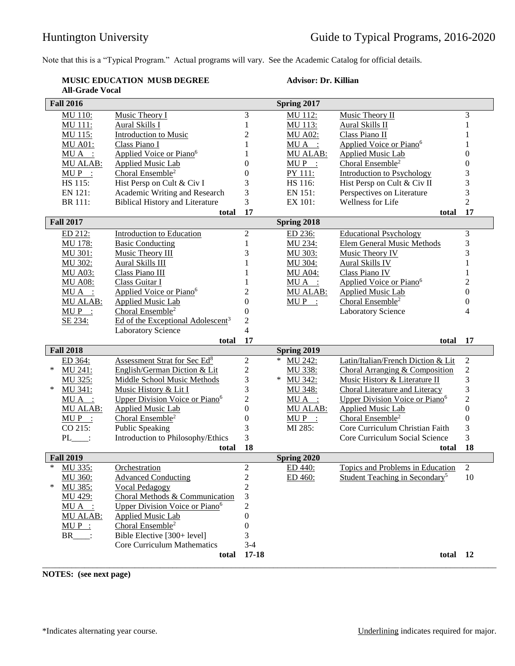Note that this is a "Typical Program." Actual programs will vary. See the Academic Catalog for official details.

## **MUSIC EDUCATION MUSB DEGREE All-Grade Vocal**

## **Advisor: Dr. Killian**

|                  | <b>Fall 2016</b> |                                               |                      | Spring 2017       |                                            |                  |
|------------------|------------------|-----------------------------------------------|----------------------|-------------------|--------------------------------------------|------------------|
|                  | MU 110:          | Music Theory I                                | 3                    | MU 112:           | Music Theory II                            | 3                |
|                  | MU 111:          | Aural Skills I                                | 1                    | MU 113:           | Aural Skills II                            | $\mathbf{1}$     |
|                  | MU 115:          | <b>Introduction to Music</b>                  | $\overline{c}$       | <b>MU A02:</b>    | Class Piano II                             | 1                |
|                  | <b>MU A01:</b>   | Class Piano I                                 | 1                    | MUA :             | Applied Voice or Piano <sup>6</sup>        | $\mathbf{1}$     |
|                  | $MU A$ :         | Applied Voice or Piano <sup>6</sup>           | 1                    | MU ALAB:          | <b>Applied Music Lab</b>                   | $\boldsymbol{0}$ |
|                  | MU ALAB:         | <b>Applied Music Lab</b>                      | $\overline{0}$       | $MUP$ :           | Choral Ensemble <sup>2</sup>               | $\boldsymbol{0}$ |
|                  | $MUP$ :          | Choral Ensemble <sup>2</sup>                  | $\Omega$             | PY 111:           | <b>Introduction to Psychology</b>          | 3                |
|                  | HS 115:          | Hist Persp on Cult & Civ I                    | 3                    | HS 116:           | Hist Persp on Cult & Civ II                | 3                |
|                  | EN 121:          | Academic Writing and Research                 | 3                    | EN 151:           | Perspectives on Literature                 | 3                |
|                  | BR 111:          | <b>Biblical History and Literature</b>        | 3                    | EX 101:           | Wellness for Life                          | $\overline{2}$   |
|                  |                  | total                                         | 17                   |                   | total                                      | 17               |
| <b>Fall 2017</b> |                  |                                               |                      | Spring 2018       |                                            |                  |
|                  | ED 212:          | <b>Introduction to Education</b>              | $\overline{2}$       | ED 236:           | <b>Educational Psychology</b>              | 3                |
|                  | <b>MU 178:</b>   | <b>Basic Conducting</b>                       | 1                    | MU 234:           | <b>Elem General Music Methods</b>          | 3                |
|                  | MU 301:          | Music Theory III                              | 3                    | MU 303:           | Music Theory IV                            | 3                |
|                  | MU 302:          | <b>Aural Skills III</b>                       | 1                    | MU 304:           | <b>Aural Skills IV</b>                     | $\mathbf{1}$     |
|                  | <b>MU A03:</b>   | Class Piano III                               |                      | <b>MU A04:</b>    | Class Piano IV                             | $\mathbf{1}$     |
|                  | <b>MU A08:</b>   | Class Guitar I                                |                      | $MU A$ :          | Applied Voice or Piano <sup>6</sup>        | $\overline{c}$   |
|                  | $MU A$ :         | Applied Voice or Piano <sup>6</sup>           | $\overline{c}$       | MU ALAB:          | <b>Applied Music Lab</b>                   | $\boldsymbol{0}$ |
|                  | MU ALAB:         | <b>Applied Music Lab</b>                      | $\overline{0}$       | $MUP$ :           | Choral Ensemble <sup>2</sup>               | $\boldsymbol{0}$ |
|                  | $MUP$ :          | Choral Ensemble <sup>2</sup>                  | $\boldsymbol{0}$     |                   | <b>Laboratory Science</b>                  | 4                |
|                  | SE 234:          | Ed of the Exceptional Adolescent <sup>3</sup> | $\overline{2}$       |                   |                                            |                  |
|                  |                  | <b>Laboratory Science</b>                     | 4                    |                   |                                            |                  |
|                  |                  |                                               |                      |                   |                                            |                  |
|                  |                  | total                                         | 17                   |                   | total                                      | 17               |
|                  | <b>Fall 2018</b> |                                               |                      | Spring 2019       |                                            |                  |
|                  | ED 364:          | Assessment Strat for Sec Ed <sup>8</sup>      | $\mathfrak{2}$       | $\ast$<br>MU 242: | Latin/Italian/French Diction & Lit         | $\sqrt{2}$       |
| ∗                | MU 241:          | English/German Diction & Lit                  | $\overline{c}$       | MU 338:           | Choral Arranging & Composition             | $\overline{c}$   |
|                  | MU 325:          | Middle School Music Methods                   | 3                    | $*$<br>MU 342:    | Music History & Literature II              | 3                |
| ∗                | MU 341:          | Music History & Lit I                         | 3                    | MU 348:           | Choral Literature and Literacy             | 3                |
|                  | $MU A$ :         | Upper Division Voice or Piano <sup>6</sup>    | $\overline{c}$       | MUA :             | Upper Division Voice or Piano <sup>6</sup> | $\overline{c}$   |
|                  | MU ALAB:         | Applied Music Lab                             | $\overline{0}$       | MU ALAB:          | <b>Applied Music Lab</b>                   | $\overline{0}$   |
|                  | $MUP$ :          | Choral Ensemble <sup>2</sup>                  | $\overline{0}$       | $MUP$ :           | Choral Ensemble <sup>2</sup>               | $\boldsymbol{0}$ |
|                  | CO 215:          | <b>Public Speaking</b>                        | 3                    | MI 285:           | Core Curriculum Christian Faith            | 3                |
|                  | $PL$ :           | Introduction to Philosophy/Ethics             | 3                    |                   | Core Curriculum Social Science             | 3                |
|                  |                  | total                                         | 18                   |                   | total                                      | 18               |
| *                | <b>Fall 2019</b> |                                               |                      | Spring 2020       |                                            |                  |
|                  | MU 335:          | Orchestration                                 | $\overline{2}$       | ED 440:           | Topics and Problems in Education           | $\overline{2}$   |
| ∗                | MU 360:          | <b>Advanced Conducting</b>                    | $\overline{c}$       | ED 460:           | Student Teaching in Secondary <sup>5</sup> | 10               |
|                  | MU 385:          | <b>Vocal Pedagogy</b>                         | $\overline{c}$       |                   |                                            |                  |
|                  | MU 429:          | Choral Methods & Communication                | 3                    |                   |                                            |                  |
|                  | $MUA$ :          | Upper Division Voice or Piano <sup>6</sup>    | $\overline{c}$       |                   |                                            |                  |
|                  | <b>MU ALAB:</b>  | <b>Applied Music Lab</b>                      | 0                    |                   |                                            |                  |
|                  | $MUP$ :          | Choral Ensemble <sup>2</sup>                  | $\boldsymbol{0}$     |                   |                                            |                  |
|                  | $BR$ :           | Bible Elective [300+ level]                   | 3                    |                   |                                            |                  |
|                  |                  | <b>Core Curriculum Mathematics</b><br>total   | $3 - 4$<br>$17 - 18$ |                   | total                                      | - 12             |

**NOTES: (see next page)**